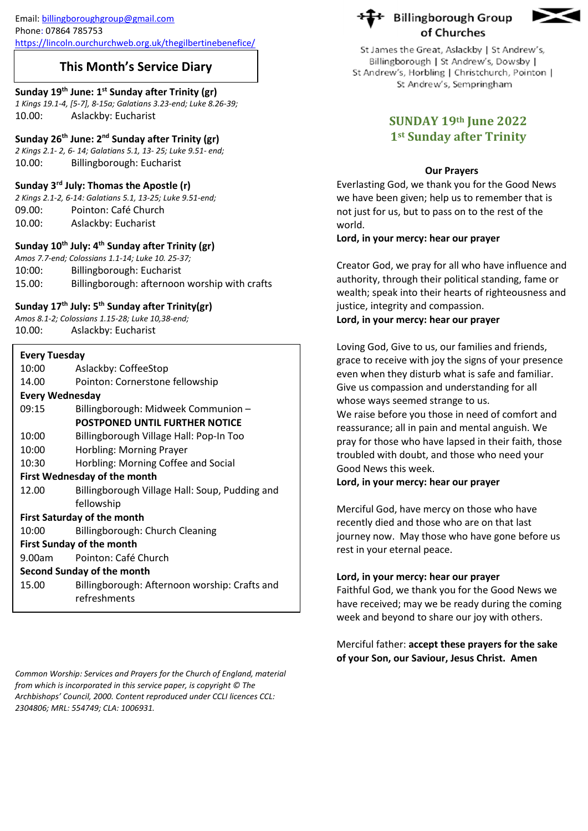Email[: billingboroughgroup@gmail.com](mailto:billingboroughgroup@gmail.com) Phone: 07864 785753

<https://lincoln.ourchurchweb.org.uk/thegilbertinebenefice/>

## **This Month's Service Diary**

#### **Sunday 19th June: 1 st Sunday after Trinity (gr)**

*1 Kings 19.1-4, [5-7], 8-15a; Galatians 3.23-end; Luke 8.26-39;* 10.00: Aslackby: Eucharist

#### **Sunday 26th June: 2nd Sunday after Trinity (gr)**

*2 Kings 2.1- 2, 6- 14; Galatians 5.1, 13- 25; Luke 9.51- end;* 10.00: Billingborough: Eucharist

#### **Sunday 3rd July: Thomas the Apostle (r)**

*2 Kings 2.1-2, 6-14: Galatians 5.1, 13-25; Luke 9.51-end;* 09.00: Pointon: Café Church 10.00: Aslackby: Eucharist

### **Sunday 10th July: 4th Sunday after Trinity (gr)**

*Amos 7.7-end; Colossians 1.1-14; Luke 10. 25-37;* 10:00: Billingborough: Eucharist 15.00: Billingborough: afternoon worship with crafts

#### **Sunday 17th July: 5 th Sunday after Trinity(gr)**

*Amos 8.1-2; Colossians 1.15-28; Luke 10,38-end;* 10.00: Aslackby: Eucharist

| <b>Every Tuesday</b>                |                                                |
|-------------------------------------|------------------------------------------------|
| 10:00                               | Aslackby: CoffeeStop                           |
| 14.00                               | Pointon: Cornerstone fellowship                |
| <b>Every Wednesday</b>              |                                                |
| 09:15                               | Billingborough: Midweek Communion -            |
|                                     | <b>POSTPONED UNTIL FURTHER NOTICE</b>          |
| 10:00                               | Billingborough Village Hall: Pop-In Too        |
| 10:00                               | Horbling: Morning Prayer                       |
| 10:30                               | Horbling: Morning Coffee and Social            |
| <b>First Wednesday of the month</b> |                                                |
| 12.00                               | Billingborough Village Hall: Soup, Pudding and |
|                                     | fellowship                                     |
| <b>First Saturday of the month</b>  |                                                |
| 10:00                               | Billingborough: Church Cleaning                |
| <b>First Sunday of the month</b>    |                                                |
| 9.00am                              | Pointon: Café Church                           |
| <b>Second Sunday of the month</b>   |                                                |
| 15.00                               | Billingborough: Afternoon worship: Crafts and  |
|                                     | refreshments                                   |
|                                     |                                                |

*Common Worship: Services and Prayers for the Church of England, material from which is incorporated in this service paper, is copyright © The Archbishops' Council, 2000. Content reproduced under CCLI licences CCL: 2304806; MRL: 554749; CLA: 1006931.*





St James the Great, Aslackby | St Andrew's, Billingborough | St Andrew's, Dowsby | St Andrew's, Horbling | Christchurch, Pointon | St Andrew's, Sempringham

# **SUNDAY 19th June 2022 1st Sunday after Trinity**

### **Our Prayers**

Everlasting God, we thank you for the Good News we have been given; help us to remember that is not just for us, but to pass on to the rest of the world.

#### **Lord, in your mercy: hear our prayer**

Creator God, we pray for all who have influence and authority, through their political standing, fame or wealth; speak into their hearts of righteousness and justice, integrity and compassion.

#### **Lord, in your mercy: hear our prayer**

Loving God, Give to us, our families and friends, grace to receive with joy the signs of your presence even when they disturb what is safe and familiar. Give us compassion and understanding for all whose ways seemed strange to us.

We raise before you those in need of comfort and reassurance; all in pain and mental anguish. We pray for those who have lapsed in their faith, those troubled with doubt, and those who need your Good News this week.

**Lord, in your mercy: hear our prayer**

Merciful God, have mercy on those who have recently died and those who are on that last journey now. May those who have gone before us rest in your eternal peace.

## **Lord, in your mercy: hear our prayer**

Faithful God, we thank you for the Good News we have received; may we be ready during the coming week and beyond to share our joy with others.

Merciful father: **accept these prayers for the sake of your Son, our Saviour, Jesus Christ. Amen**